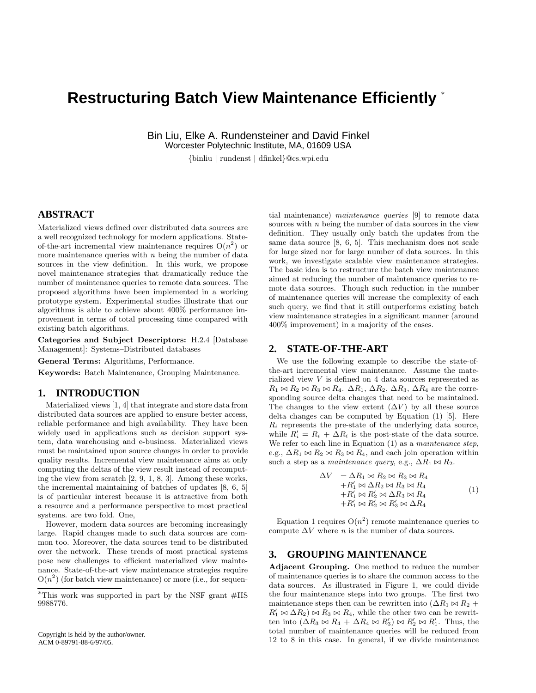# **Restructuring Batch View Maintenance Efficiently** <sup>∗</sup>

Bin Liu, Elke A. Rundensteiner and David Finkel Worcester Polytechnic Institute, MA, 01609 USA

{binliu | rundenst | dfinkel}@cs.wpi.edu

## **ABSTRACT**

Materialized views defined over distributed data sources are a well recognized technology for modern applications. Stateof-the-art incremental view maintenance requires  $O(n^2)$  or more maintenance queries with  $n$  being the number of data sources in the view definition. In this work, we propose novel maintenance strategies that dramatically reduce the number of maintenance queries to remote data sources. The proposed algorithms have been implemented in a working prototype system. Experimental studies illustrate that our algorithms is able to achieve about 400% performance improvement in terms of total processing time compared with existing batch algorithms.

Categories and Subject Descriptors: H.2.4 [Database Management]: Systems–Distributed databases

General Terms: Algorithms, Performance.

Keywords: Batch Maintenance, Grouping Maintenance.

### **1. INTRODUCTION**

Materialized views [1, 4] that integrate and store data from distributed data sources are applied to ensure better access, reliable performance and high availability. They have been widely used in applications such as decision support system, data warehousing and e-business. Materialized views must be maintained upon source changes in order to provide quality results. Incremental view maintenance aims at only computing the deltas of the view result instead of recomputing the view from scratch [2, 9, 1, 8, 3]. Among these works, the incremental maintaining of batches of updates [8, 6, 5] is of particular interest because it is attractive from both a resource and a performance perspective to most practical systems. are two fold. One,

However, modern data sources are becoming increasingly large. Rapid changes made to such data sources are common too. Moreover, the data sources tend to be distributed over the network. These trends of most practical systems pose new challenges to efficient materialized view maintenance. State-of-the-art view maintenance strategies require  $O(n^2)$  (for batch view maintenance) or more (i.e., for sequential maintenance) maintenance queries [9] to remote data sources with *n* being the number of data sources in the view definition. They usually only batch the updates from the same data source [8, 6, 5]. This mechanism does not scale for large sized nor for large number of data sources. In this work, we investigate scalable view maintenance strategies. The basic idea is to restructure the batch view maintenance aimed at reducing the number of maintenance queries to remote data sources. Though such reduction in the number of maintenance queries will increase the complexity of each such query, we find that it still outperforms existing batch view maintenance strategies in a significant manner (around 400% improvement) in a majority of the cases.

## **2. STATE-OF-THE-ART**

We use the following example to describe the state-ofthe-art incremental view maintenance. Assume the materialized view V is defined on 4 data sources represented as  $R_1 \bowtie R_2 \bowtie R_3 \bowtie R_4$ .  $\Delta R_1$ ,  $\Delta R_2$ ,  $\Delta R_3$ ,  $\Delta R_4$  are the corresponding source delta changes that need to be maintained. The changes to the view extent  $(\Delta V)$  by all these source delta changes can be computed by Equation (1) [5]. Here  $R_i$  represents the pre-state of the underlying data source, while  $R'_i = R_i + \Delta R_i$  is the post-state of the data source. We refer to each line in Equation (1) as a *maintenance step*, e.g.,  $\Delta R_1 \bowtie R_2 \bowtie R_3 \bowtie R_4$ , and each join operation within such a step as a maintenance query, e.g.,  $\Delta R_1 \bowtie R_2$ .

$$
\Delta V = \Delta R_1 \bowtie R_2 \bowtie R_3 \bowtie R_4 + R'_1 \bowtie \Delta R_2 \bowtie R_3 \bowtie R_4 + R'_1 \bowtie R'_2 \bowtie \Delta R_3 \bowtie R_4 + R'_1 \bowtie R'_2 \bowtie R'_3 \bowtie \Delta R_4
$$
(1)

Equation 1 requires  $O(n^2)$  remote maintenance queries to compute  $\Delta V$  where *n* is the number of data sources.

## **3. GROUPING MAINTENANCE**

Adjacent Grouping. One method to reduce the number of maintenance queries is to share the common access to the data sources. As illustrated in Figure 1, we could divide the four maintenance steps into two groups. The first two maintenance steps then can be rewritten into  $(\Delta R_1 \bowtie R_2 +$  $R'_1 \bowtie \Delta R_2$ )  $\bowtie R_3 \bowtie R_4$ , while the other two can be rewritten into  $(\Delta R_3 \bowtie R_4 + \Delta R_4 \bowtie R'_3) \bowtie R'_2 \bowtie R'_1$ . Thus, the total number of maintenance queries will be reduced from 12 to 8 in this case. In general, if we divide maintenance

<sup>∗</sup>This work was supported in part by the NSF grant #IIS 9988776.